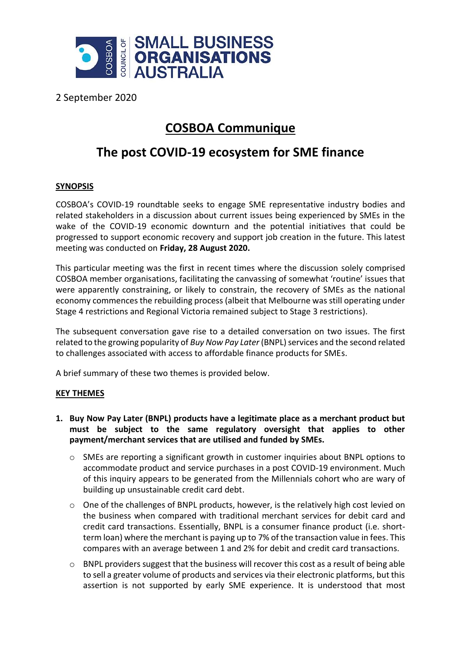

2 September 2020

## **COSBOA Communique**

## **The post COVID-19 ecosystem for SME finance**

## **SYNOPSIS**

COSBOA's COVID-19 roundtable seeks to engage SME representative industry bodies and related stakeholders in a discussion about current issues being experienced by SMEs in the wake of the COVID-19 economic downturn and the potential initiatives that could be progressed to support economic recovery and support job creation in the future. This latest meeting was conducted on **Friday, 28 August 2020.**

This particular meeting was the first in recent times where the discussion solely comprised COSBOA member organisations, facilitating the canvassing of somewhat 'routine' issues that were apparently constraining, or likely to constrain, the recovery of SMEs as the national economy commences the rebuilding process (albeit that Melbourne was still operating under Stage 4 restrictions and Regional Victoria remained subject to Stage 3 restrictions).

The subsequent conversation gave rise to a detailed conversation on two issues. The first related to the growing popularity of *Buy Now Pay Later* (BNPL) services and the second related to challenges associated with access to affordable finance products for SMEs.

A brief summary of these two themes is provided below.

## **KEY THEMES**

- **1. Buy Now Pay Later (BNPL) products have a legitimate place as a merchant product but must be subject to the same regulatory oversight that applies to other payment/merchant services that are utilised and funded by SMEs.**
	- o SMEs are reporting a significant growth in customer inquiries about BNPL options to accommodate product and service purchases in a post COVID-19 environment. Much of this inquiry appears to be generated from the Millennials cohort who are wary of building up unsustainable credit card debt.
	- o One of the challenges of BNPL products, however, is the relatively high cost levied on the business when compared with traditional merchant services for debit card and credit card transactions. Essentially, BNPL is a consumer finance product (i.e. shortterm loan) where the merchant is paying up to 7% of the transaction value in fees. This compares with an average between 1 and 2% for debit and credit card transactions.
	- o BNPL providers suggest that the business will recover this cost as a result of being able to sell a greater volume of products and services via their electronic platforms, but this assertion is not supported by early SME experience. It is understood that most